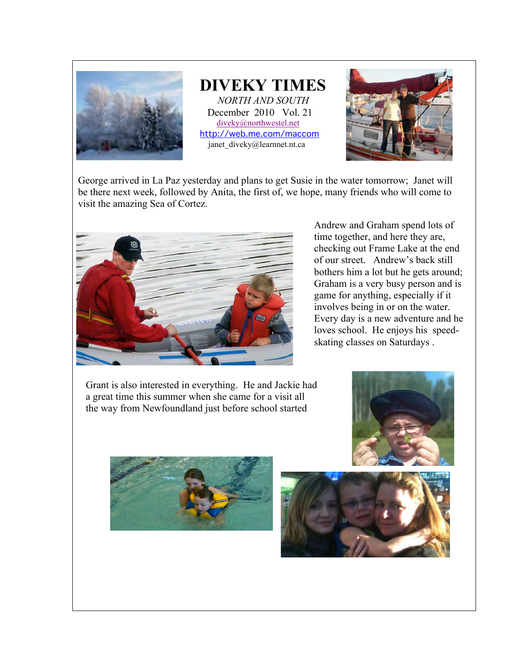

## **DIVEKY TIMES** *NORTH AND SOUTH* December 2010 Vol. 21 diveky@northwestel.net

http://web.me.com/maccom janet\_diveky@learnnet.nt.ca

George arrived in La Paz yesterday and plans to get Susie in the water tomorrow; Janet will be there next week, followed by Anita, the first of, we hope, many friends who will come to visit the amazing Sea of Cortez.



Andrew and Graham spend lots of time together, and here they are, checking out Frame Lake at the end of our street. Andrew's back still bothers him a lot but he gets around; Graham is a very busy person and is game for anything, especially if it involves being in or on the water. Every day is a new adventure and he loves school. He enjoys his speedskating classes on Saturdays .

Grant is also interested in everything. He and Jackie had a great time this summer when she came for a visit all the way from Newfoundland just before school started





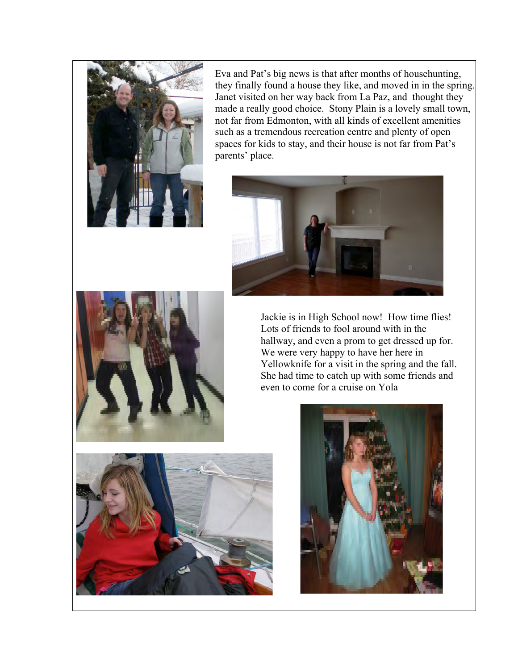

Eva and Pat's big news is that after months of househunting, they finally found a house they like, and moved in in the spring. Janet visited on her way back from La Paz, and thought they made a really good choice. Stony Plain is a lovely small town, not far from Edmonton, with all kinds of excellent amenities such as a tremendous recreation centre and plenty of open spaces for kids to stay, and their house is not far from Pat's parents' place.





Jackie is in High School now! How time flies! Lots of friends to fool around with in the hallway, and even a prom to get dressed up for. We were very happy to have her here in Yellowknife for a visit in the spring and the fall. She had time to catch up with some friends and even to come for a cruise on Yola



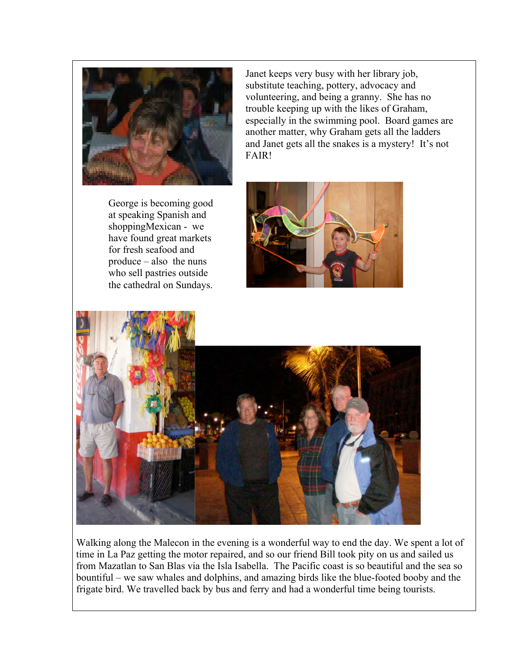

George is becoming good at speaking Spanish and shoppingMexican - we have found great markets for fresh seafood and produce – also the nuns who sell pastries outside the cathedral on Sundays.

Janet keeps very busy with her library job, substitute teaching, pottery, advocacy and volunteering, and being a granny. She has no trouble keeping up with the likes of Graham, especially in the swimming pool. Board games are another matter, why Graham gets all the ladders and Janet gets all the snakes is a mystery! It's not FAIR!





Walking along the Malecon in the evening is a wonderful way to end the day. We spent a lot of time in La Paz getting the motor repaired, and so our friend Bill took pity on us and sailed us from Mazatlan to San Blas via the Isla Isabella. The Pacific coast is so beautiful and the sea so bountiful – we saw whales and dolphins, and amazing birds like the blue-footed booby and the frigate bird. We travelled back by bus and ferry and had a wonderful time being tourists.